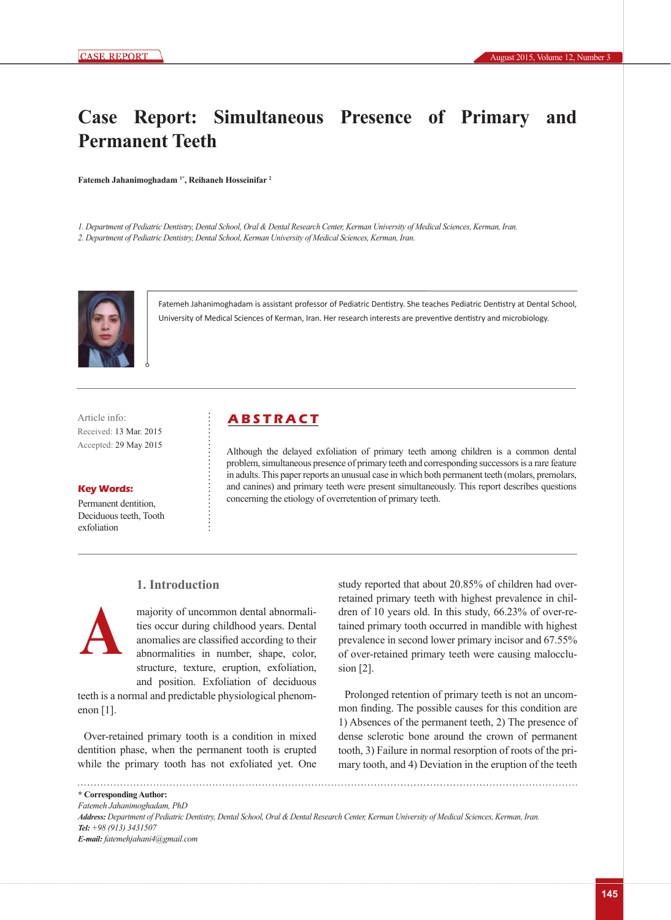# **Case Report: Simultaneous Presence of Primary and Permanent Teeth**

**Fatemeh Jahanimoghadam 1\*, Reihaneh Hosseinifar 2**

*1. Department of Pediatric Dentistry, Dental School, Oral & Dental Research Center, Kerman University of Medical Sciences, Kerman, Iran. 2. Department of Pediatric Dentistry, Dental School, Kerman University of Medical Sciences, Kerman, Iran.*



Fatemeh Jahanimoghadam is assistant professor of Pediatric Dentistry. She teaches Pediatric Dentistry at Dental School, University of Medical Sciences of Kerman, Iran. Her research interests are preventive dentistry and microbiology.

Received: 13 Mar. 2015 Accepted: 29 May 2015

#### **Key Words:**

Permanent dentition, Deciduous teeth, Tooth exfoliation

# Article info: **ABSTRACT**

Although the delayed exfoliation of primary teeth among children is a common dental problem, simultaneous presence of primary teeth and corresponding successors is a rare feature in adults. This paper reports an unusual case in which both permanent teeth (molars, premolars, and canines) and primary teeth were present simultaneously. This report describes questions concerning the etiology of overretention of primary teeth.

## **1. Introduction**



majority of uncommon dental abnormalities occur during childhood years. Dental anomalies are classified according to their abnormalities in number, shape, color, structure, texture, eruption, exfoliation, and position. Exfoliation of deciduous

teeth is a normal and predictable physiological phenomenon [1].

Over-retained primary tooth is a condition in mixed dentition phase, when the permanent tooth is erupted while the primary tooth has not exfoliated yet. One

study reported that about 20.85% of children had overretained primary teeth with highest prevalence in children of 10 years old. In this study, 66.23% of over-retained primary tooth occurred in mandible with highest prevalence in second lower primary incisor and 67.55% of over-retained primary teeth were causing malocclusion [2].

Prolonged retention of primary teeth is not an uncommon finding. The possible causes for this condition are 1) Absences of the permanent teeth, 2) The presence of dense sclerotic bone around the crown of permanent tooth, 3) Failure in normal resorption of roots of the primary tooth, and 4) Deviation in the eruption of the teeth

**\* Corresponding Author:**

*Fatemeh Jahanimoghadam, PhD Address: Department of Pediatric Dentistry, Dental School, Oral & Dental Research Center, Kerman University of Medical Sciences, Kerman, Iran. Tel: +98 (913) 3431507 E-mail: fatemehjahani4@gmail.com*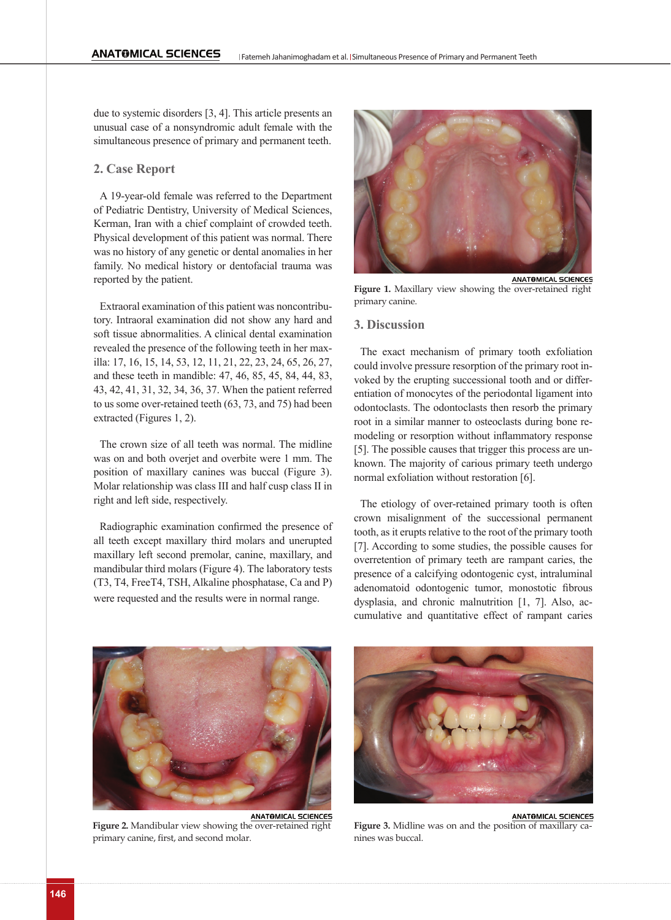due to systemic disorders [3, 4]. This article presents an unusual case of a nonsyndromic adult female with the simultaneous presence of primary and permanent teeth.

#### **2. Case Report**

A 19-year-old female was referred to the Department of Pediatric Dentistry, University of Medical Sciences, Kerman, Iran with a chief complaint of crowded teeth. Physical development of this patient was normal. There was no history of any genetic or dental anomalies in her family. No medical history or dentofacial trauma was reported by the patient.

Extraoral examination of this patient was noncontributory. Intraoral examination did not show any hard and soft tissue abnormalities. A clinical dental examination revealed the presence of the following teeth in her maxilla: 17, 16, 15, 14, 53, 12, 11, 21, 22, 23, 24, 65, 26, 27, and these teeth in mandible: 47, 46, 85, 45, 84, 44, 83, 43, 42, 41, 31, 32, 34, 36, 37. When the patient referred to us some over-retained teeth (63, 73, and 75) had been extracted (Figures 1, 2).

The crown size of all teeth was normal. The midline was on and both overjet and overbite were 1 mm. The position of maxillary canines was buccal (Figure 3). Molar relationship was class III and half cusp class II in right and left side, respectively.

Radiographic examination confirmed the presence of all teeth except maxillary third molars and unerupted maxillary left second premolar, canine, maxillary, and mandibular third molars (Figure 4). The laboratory tests (T3, T4, FreeT4, TSH, Alkaline phosphatase, Ca and P) were requested and the results were in normal range.



Figure 1. Maxillary view showing the over-retained right primary canine.

#### **3. Discussion**

The exact mechanism of primary tooth exfoliation could involve pressure resorption of the primary root invoked by the erupting successional tooth and or differentiation of monocytes of the periodontal ligament into odontoclasts. The odontoclasts then resorb the primary root in a similar manner to osteoclasts during bone remodeling or resorption without inflammatory response [5]. The possible causes that trigger this process are unknown. The majority of carious primary teeth undergo normal exfoliation without restoration [6].

The etiology of over-retained primary tooth is often crown misalignment of the successional permanent tooth, as it erupts relative to the root of the primary tooth [7]. According to some studies, the possible causes for overretention of primary teeth are rampant caries, the presence of a calcifying odontogenic cyst, intraluminal adenomatoid odontogenic tumor, monostotic fibrous dysplasia, and chronic malnutrition [1, 7]. Also, accumulative and quantitative effect of rampant caries



**Figure 2.** Mandibular view showing the over-retained right primary canine, first, and second molar.



ANATOMICAL SCIENCES **Figure 3.** Midline was on and the position of maxillary canines was buccal.